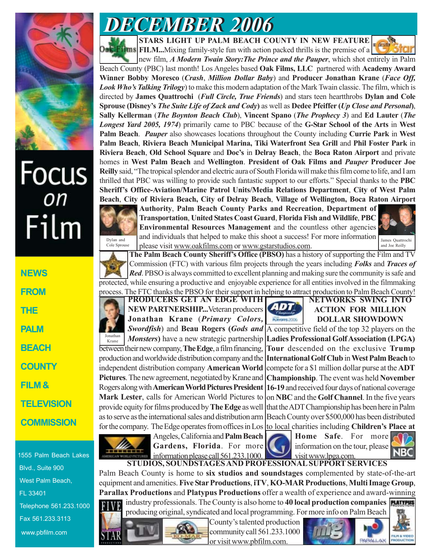

# Focus<br><sub>on</sub> Film

| <b>NEWS</b>       |
|-------------------|
| <b>FROM</b>       |
| THE               |
| PALM              |
| BEACH             |
| COUNTY            |
| FILM &            |
| <b>TELEVISION</b> |
| <b>COMMISSION</b> |

1555 Palm Beach Lakes Blvd., Suite 900 West Palm Beach, FL 33401 Telephone 561.233.1000 Fax 561.233.3113 www.pbfilm.com

## *DECEMBER 2006 DECEMBER 2006*

**STARS LIGHT UP PALM BEACH COUNTY IN NEW FEATURE**

**Films FILM...**Mixing family-style fun with action packed thrills is the premise of a



new film, *A Modern Twain Story:The Prince and the Pauper*, which shot entirely in Palm Beach County (PBC) last month! Los Angeles based **Oak Films, LLC** partnered with **Academy Award Winner Bobby Moresco** (*Crash*, *Million Dollar Baby*) and **Producer Jonathan Krane** (*Face Off, Look Who's Talking Trilogy*) to make this modern adaptation of the Mark Twain classic. The film, which is directed by **James Quattrochi** (*Full Circle, True Friends*) and stars teen heartthrobs **Dylan and Cole Sprouse (Disney's** *The Suite Life of Zack and Cody***)** as well as **Dedee Pfeiffer (***Up Close and Personal***)**, **Sally Kellerman** (*The Boynton Beach Club*), **Vincent Spano** (*The Prophecy 3*) and **Ed Lauter** (*The Longest Yard 2005, 1974*) primarily came to PBC because of the **G-Star School of the Arts** in **West Palm Beach**. *Pauper* also showcases locations throughout the County including **Currie Park** in **West Palm Beach**, **Riviera Beach Municipal Marina, Tiki Waterfront Sea Grill** and **Phil Foster Park** in **Riviera Beach**, **Old School Square** and **Doc's** in **Delray Beach**, the **Boca Raton Airport** and private homes in **West Palm Beach** and **Wellington**. **President of Oak Films and** *Pauper* **Producer Joe Reilly** said, "The tropical splendor and electric aura of South Florida will make this film come to life, and I am thrilled that PBC was willing to provide such fantastic support to our efforts." Special thanks to the **PBC Sheriff's Office-Aviation/Marine Patrol Units/Media Relations Department**, **City of West Palm Beach**, **City of Riviera Beach, City of Delray Beach**, **Village of Wellington, Boca Raton Airport**



**Authority**, **Palm Beach County Parks and Recreation**, **Department of Transportation**, **United States Coast Guard**, **Florida Fish and Wildlife**, **PBC Environmental Resources Management** and the countless other agencies and individuals that helped to make this shoot a success! For more information please visit www.oakfilms.com or www.gstarstudios.com.



**The Palm Beach County Sheriff's Office (PBSO)** has a history of supporting the Film and TV Commission (FTC) with various film projects through the years including *Folks* and *Traces of Red*. PBSO is always committed to excellent planning and making sure the community is safe and protected, while ensuring a productive and enjoyable experience for all entities involved in the filmmaking process. The FTC thanks the PBSO for their support in helping to attract production to Palm Beach County!

**PRODUCERS GET AN EDGE WITH NEW PARTNERSHIP...**Veteran producers **Jonathan Krane** (*Primary Colors, Monsters***)** have a new strategic partnership between their new company, **The Edge**, a film financing, production and worldwide distribution company and the independent distribution company **American World Pictures**. The new agreement, negotiated by Krane and Rogers along with **American World Pictures President 16-19** and received four days of national coverage **Mark Lester**, calls for American World Pictures to provide equity for films produced by **The Edge** as well as to serve as the international sales and distribution arm Beach County over \$500,000 has been distributed for the company. The Edge operates from offices in Los to local charities including **Children's Place at** Jonathan Krane



**NETWORKS SWING INTO ACTION FOR MILLION DOLLAR SHOWDOWN**

*Swordfish*) and **Beau Rogers (***Gods and* A competitive field of the top 32 players on the **Ladies Professional Golf Association (LPGA) Tour** descended on the exclusive **Trump International Golf Club** in **West Palm Beach** to compete for a \$1 million dollar purse at the **ADT Championship**. The event was held **November** on **NBC** and the **Golf Channel**. In the five years that the ADT Championship has been here in Palm



Angeles, California and **Palm Beach Gardens, Florida**. For more information please call 561.233.1000.



**Home Safe**. For more information on the tour, please visit www.lpga.com.



**STUDIOS, SOUNDSTAGES AND PROFESSIONAL SUPPORT SERVICES** Palm Beach County is home to **six studios and soundstages** complemented by state-of-the-art equipment and amenities. **Five Star Productions**, **iTV**, **KO-MAR Productions**, **Multi Image Group**, **Parallax Productions** and **Platypus Productions** offer a wealth of experience and award-winning industry professionals. The County is also home to **40 local production companies**





County's talented production community call 561.233.1000 or visit www.pbfilm.com.